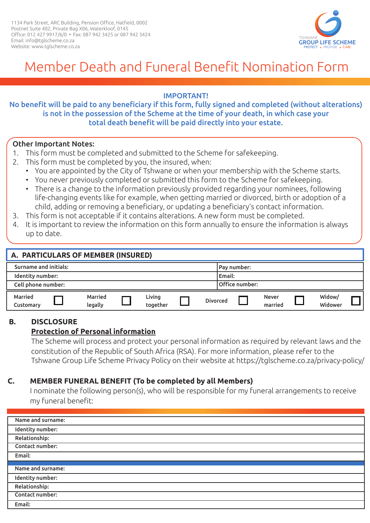

# Member Death and Funeral Benefit Nomination Form

### IMPORTANT!

### No benefit will be paid to any beneficiary if this form, fully signed and completed (without alterations) is not in the possession of the Scheme at the time of your death, in which case your total death benefit will be paid directly into your estate.

### Other Important Notes:

- 1. This form must be completed and submitted to the Scheme for safekeeping.
- 2. This form must be completed by you, the insured, when:
	- You are appointed by the City of Tshwane or when your membership with the Scheme starts.
	- You never previously completed or submitted this form to the Scheme for safekeeping.
	- There is a change to the information previously provided regarding your nominees, following life-changing events like for example, when getting married or divorced, birth or adoption of a child, adding or removing a beneficiary, or updating a beneficiary's contact information.
- 3. This form is not acceptable if it contains alterations. A new form must be completed.
- 4. It is important to review the information on this form annually to ensure the information is always up to date.

| A. PARTICULARS OF MEMBER (INSURED) |  |                    |  |                    |                |  |                 |  |                         |  |                   |  |
|------------------------------------|--|--------------------|--|--------------------|----------------|--|-----------------|--|-------------------------|--|-------------------|--|
| Surname and initials:              |  |                    |  |                    | Pay number:    |  |                 |  |                         |  |                   |  |
| Identity number:                   |  |                    |  |                    | Email:         |  |                 |  |                         |  |                   |  |
| Cell phone number:                 |  |                    |  |                    | Office number: |  |                 |  |                         |  |                   |  |
| <b>Married</b><br>Customary        |  | Married<br>legally |  | Living<br>together |                |  | <b>Divorced</b> |  | <b>Never</b><br>married |  | Widow/<br>Widower |  |

#### **B. B. DISCLOSURE**

# **Protection of Personal information**

The Scheme will process and protect your personal information as required by relevant laws and the constitution of the Republic of South Africa (RSA). For more information, please refer to the Tshwane Group Life Scheme Privacy Policy on their website at https://tglscheme.co.za/privacy-policy/

### **C. MEMBER FUNERAL BENEFIT (To be completed by all Members)**

I nominate the following person(s), who will be responsible for my funeral arrangements to receive my funeral benefit:

| Name and surname: |
|-------------------|
| Identity number:  |
| Relationship:     |
| Contact number:   |
| Email:            |
|                   |
| Name and surname: |
|                   |
| Identity number:  |
| Relationship:     |
| Contact number:   |